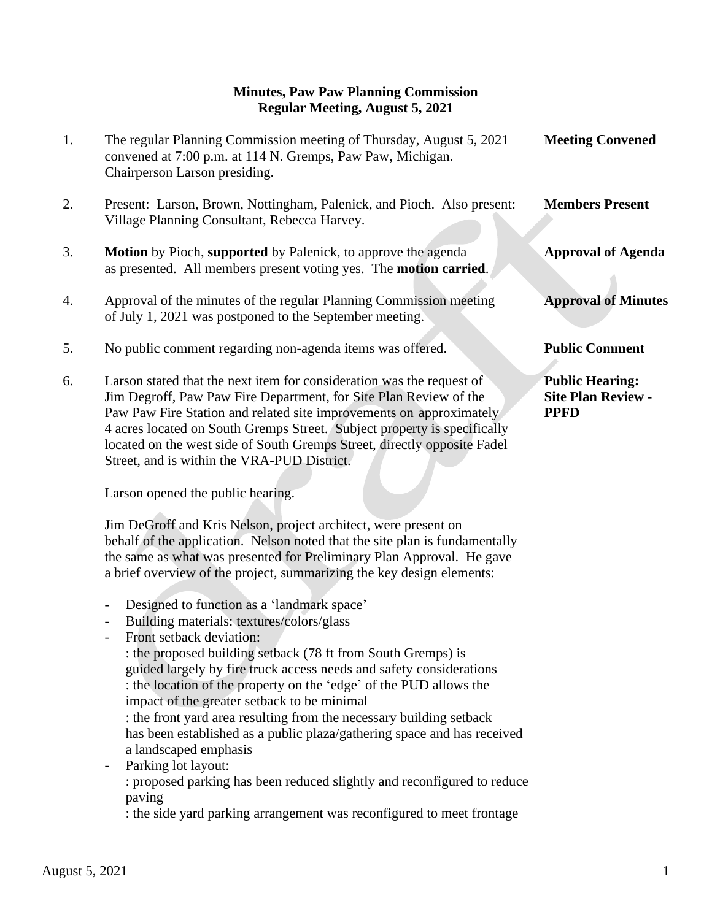## **Minutes, Paw Paw Planning Commission Regular Meeting, August 5, 2021**

| 1. | The regular Planning Commission meeting of Thursday, August 5, 2021<br>convened at 7:00 p.m. at 114 N. Gremps, Paw Paw, Michigan.<br>Chairperson Larson presiding.                                                                                                                                                                                                                                                       | <b>Meeting Convened</b>                                            |
|----|--------------------------------------------------------------------------------------------------------------------------------------------------------------------------------------------------------------------------------------------------------------------------------------------------------------------------------------------------------------------------------------------------------------------------|--------------------------------------------------------------------|
| 2. | Present: Larson, Brown, Nottingham, Palenick, and Pioch. Also present:<br>Village Planning Consultant, Rebecca Harvey.                                                                                                                                                                                                                                                                                                   | <b>Members Present</b>                                             |
| 3. | <b>Motion</b> by Pioch, supported by Palenick, to approve the agenda<br>as presented. All members present voting yes. The <b>motion carried</b> .                                                                                                                                                                                                                                                                        | <b>Approval of Agenda</b>                                          |
| 4. | Approval of the minutes of the regular Planning Commission meeting<br>of July 1, 2021 was postponed to the September meeting.                                                                                                                                                                                                                                                                                            | <b>Approval of Minutes</b>                                         |
| 5. | No public comment regarding non-agenda items was offered.                                                                                                                                                                                                                                                                                                                                                                | <b>Public Comment</b>                                              |
| 6. | Larson stated that the next item for consideration was the request of<br>Jim Degroff, Paw Paw Fire Department, for Site Plan Review of the<br>Paw Paw Fire Station and related site improvements on approximately<br>4 acres located on South Gremps Street. Subject property is specifically<br>located on the west side of South Gremps Street, directly opposite Fadel<br>Street, and is within the VRA-PUD District. | <b>Public Hearing:</b><br><b>Site Plan Review -</b><br><b>PPFD</b> |

Larson opened the public hearing.

 Jim DeGroff and Kris Nelson, project architect, were present on behalf of the application. Nelson noted that the site plan is fundamentally the same as what was presented for Preliminary Plan Approval. He gave a brief overview of the project, summarizing the key design elements:

- Designed to function as a 'landmark space'
- Building materials: textures/colors/glass
- Front setback deviation:

: the proposed building setback (78 ft from South Gremps) is guided largely by fire truck access needs and safety considerations : the location of the property on the 'edge' of the PUD allows the impact of the greater setback to be minimal : the front yard area resulting from the necessary building setback

has been established as a public plaza/gathering space and has received a landscaped emphasis

Parking lot layout:

: proposed parking has been reduced slightly and reconfigured to reduce paving

: the side yard parking arrangement was reconfigured to meet frontage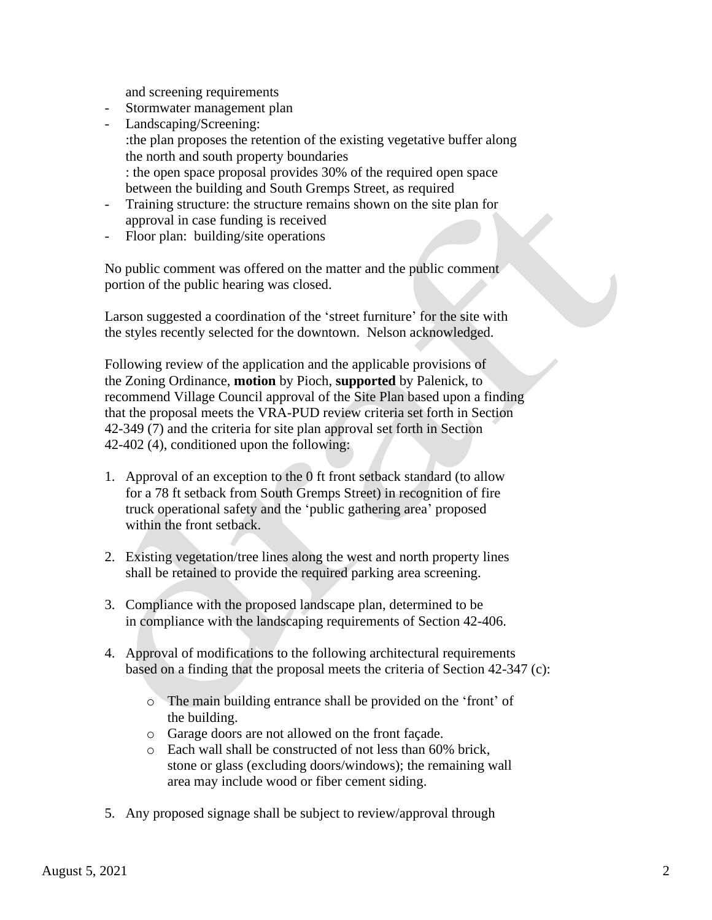and screening requirements

- Stormwater management plan
- Landscaping/Screening: :the plan proposes the retention of the existing vegetative buffer along the north and south property boundaries : the open space proposal provides 30% of the required open space between the building and South Gremps Street, as required
- Training structure: the structure remains shown on the site plan for approval in case funding is received
- Floor plan: building/site operations

 No public comment was offered on the matter and the public comment portion of the public hearing was closed.

 Larson suggested a coordination of the 'street furniture' for the site with the styles recently selected for the downtown. Nelson acknowledged.

 Following review of the application and the applicable provisions of the Zoning Ordinance, **motion** by Pioch, **supported** by Palenick, to recommend Village Council approval of the Site Plan based upon a finding that the proposal meets the VRA-PUD review criteria set forth in Section 42-349 (7) and the criteria for site plan approval set forth in Section 42-402 (4), conditioned upon the following:

- 1. Approval of an exception to the 0 ft front setback standard (to allow for a 78 ft setback from South Gremps Street) in recognition of fire truck operational safety and the 'public gathering area' proposed within the front setback.
- 2. Existing vegetation/tree lines along the west and north property lines shall be retained to provide the required parking area screening.
- 3. Compliance with the proposed landscape plan, determined to be in compliance with the landscaping requirements of Section 42-406.
- 4. Approval of modifications to the following architectural requirements based on a finding that the proposal meets the criteria of Section 42-347 (c):
	- o The main building entrance shall be provided on the 'front' of the building.
	- o Garage doors are not allowed on the front façade.
	- o Each wall shall be constructed of not less than 60% brick, stone or glass (excluding doors/windows); the remaining wall area may include wood or fiber cement siding.
- 5. Any proposed signage shall be subject to review/approval through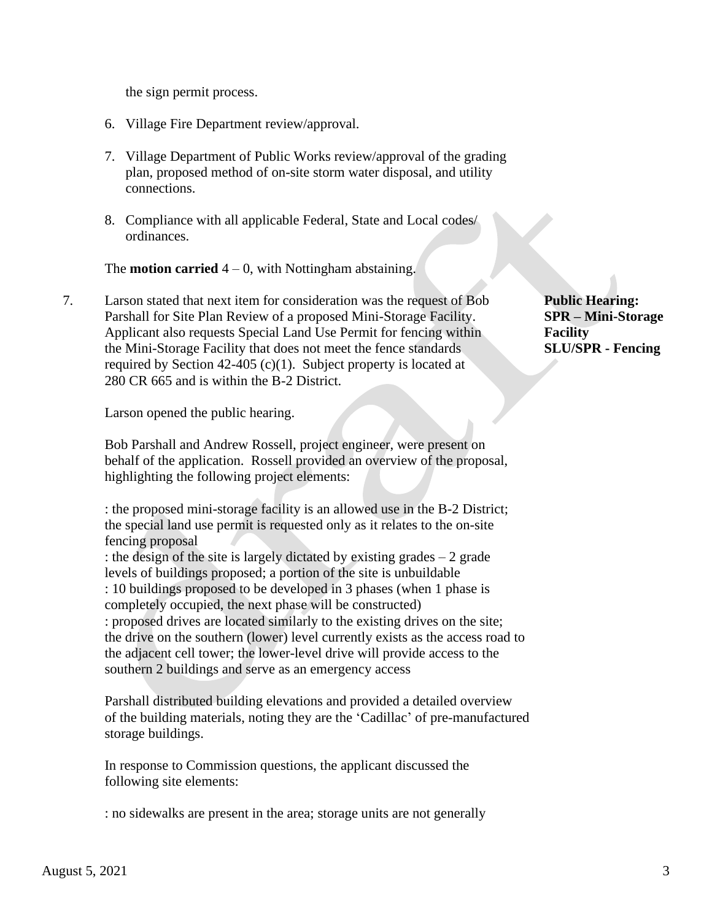the sign permit process.

- 6. Village Fire Department review/approval.
- 7. Village Department of Public Works review/approval of the grading plan, proposed method of on-site storm water disposal, and utility connections.
- 8. Compliance with all applicable Federal, State and Local codes/ ordinances.

The **motion carried**  $4 - 0$ , with Nottingham abstaining.

7. Larson stated that next item for consideration was the request of Bob **Public Hearing:** Parshall for Site Plan Review of a proposed Mini-Storage Facility. **SPR – Mini-Storage** Applicant also requests Special Land Use Permit for fencing within **Facility** the Mini-Storage Facility that does not meet the fence standards **SLU/SPR - Fencing** required by Section 42-405 (c)(1). Subject property is located at 280 CR 665 and is within the B-2 District.

Larson opened the public hearing.

 Bob Parshall and Andrew Rossell, project engineer, were present on behalf of the application. Rossell provided an overview of the proposal, highlighting the following project elements:

 : the proposed mini-storage facility is an allowed use in the B-2 District; the special land use permit is requested only as it relates to the on-site fencing proposal

 : the design of the site is largely dictated by existing grades – 2 grade levels of buildings proposed; a portion of the site is unbuildable : 10 buildings proposed to be developed in 3 phases (when 1 phase is completely occupied, the next phase will be constructed) : proposed drives are located similarly to the existing drives on the site; the drive on the southern (lower) level currently exists as the access road to the adjacent cell tower; the lower-level drive will provide access to the southern 2 buildings and serve as an emergency access

 Parshall distributed building elevations and provided a detailed overview of the building materials, noting they are the 'Cadillac' of pre-manufactured storage buildings.

 In response to Commission questions, the applicant discussed the following site elements:

: no sidewalks are present in the area; storage units are not generally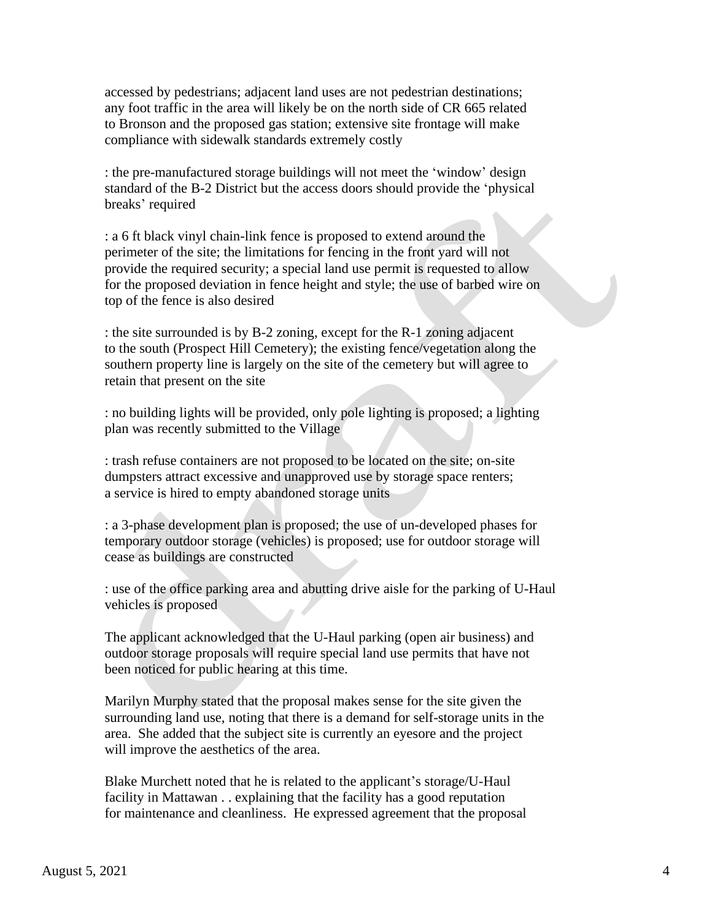accessed by pedestrians; adjacent land uses are not pedestrian destinations; any foot traffic in the area will likely be on the north side of CR 665 related to Bronson and the proposed gas station; extensive site frontage will make compliance with sidewalk standards extremely costly

 : the pre-manufactured storage buildings will not meet the 'window' design standard of the B-2 District but the access doors should provide the 'physical breaks' required

 : a 6 ft black vinyl chain-link fence is proposed to extend around the perimeter of the site; the limitations for fencing in the front yard will not provide the required security; a special land use permit is requested to allow for the proposed deviation in fence height and style; the use of barbed wire on top of the fence is also desired

 : the site surrounded is by B-2 zoning, except for the R-1 zoning adjacent to the south (Prospect Hill Cemetery); the existing fence/vegetation along the southern property line is largely on the site of the cemetery but will agree to retain that present on the site

 : no building lights will be provided, only pole lighting is proposed; a lighting plan was recently submitted to the Village

 : trash refuse containers are not proposed to be located on the site; on-site dumpsters attract excessive and unapproved use by storage space renters; a service is hired to empty abandoned storage units

 : a 3-phase development plan is proposed; the use of un-developed phases for temporary outdoor storage (vehicles) is proposed; use for outdoor storage will cease as buildings are constructed

 : use of the office parking area and abutting drive aisle for the parking of U-Haul vehicles is proposed

 The applicant acknowledged that the U-Haul parking (open air business) and outdoor storage proposals will require special land use permits that have not been noticed for public hearing at this time.

 Marilyn Murphy stated that the proposal makes sense for the site given the surrounding land use, noting that there is a demand for self-storage units in the area. She added that the subject site is currently an eyesore and the project will improve the aesthetics of the area.

 Blake Murchett noted that he is related to the applicant's storage/U-Haul facility in Mattawan . . explaining that the facility has a good reputation for maintenance and cleanliness. He expressed agreement that the proposal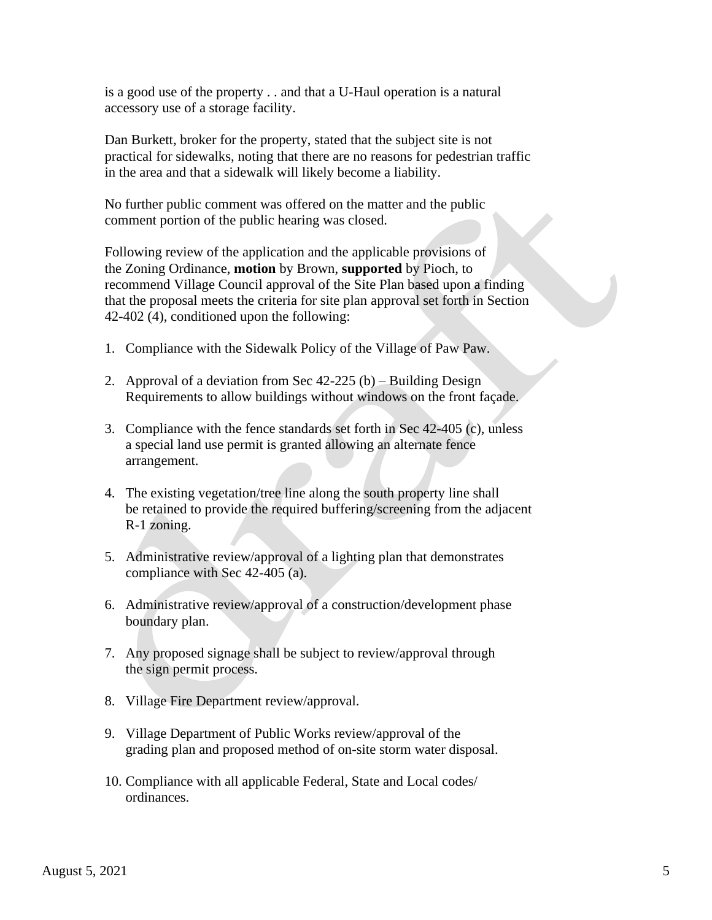is a good use of the property . . and that a U-Haul operation is a natural accessory use of a storage facility.

 Dan Burkett, broker for the property, stated that the subject site is not practical for sidewalks, noting that there are no reasons for pedestrian traffic in the area and that a sidewalk will likely become a liability.

 No further public comment was offered on the matter and the public comment portion of the public hearing was closed.

 Following review of the application and the applicable provisions of the Zoning Ordinance, **motion** by Brown, **supported** by Pioch, to recommend Village Council approval of the Site Plan based upon a finding that the proposal meets the criteria for site plan approval set forth in Section 42-402 (4), conditioned upon the following:

- 1. Compliance with the Sidewalk Policy of the Village of Paw Paw.
- 2. Approval of a deviation from Sec 42-225 (b) Building Design Requirements to allow buildings without windows on the front façade.
- 3. Compliance with the fence standards set forth in Sec 42-405 (c), unless a special land use permit is granted allowing an alternate fence arrangement.
- 4. The existing vegetation/tree line along the south property line shall be retained to provide the required buffering/screening from the adjacent R-1 zoning.
- 5. Administrative review/approval of a lighting plan that demonstrates compliance with Sec 42-405 (a).
- 6. Administrative review/approval of a construction/development phase boundary plan.
- 7. Any proposed signage shall be subject to review/approval through the sign permit process.
- 8. Village Fire Department review/approval.
- 9. Village Department of Public Works review/approval of the grading plan and proposed method of on-site storm water disposal.
- 10. Compliance with all applicable Federal, State and Local codes/ ordinances.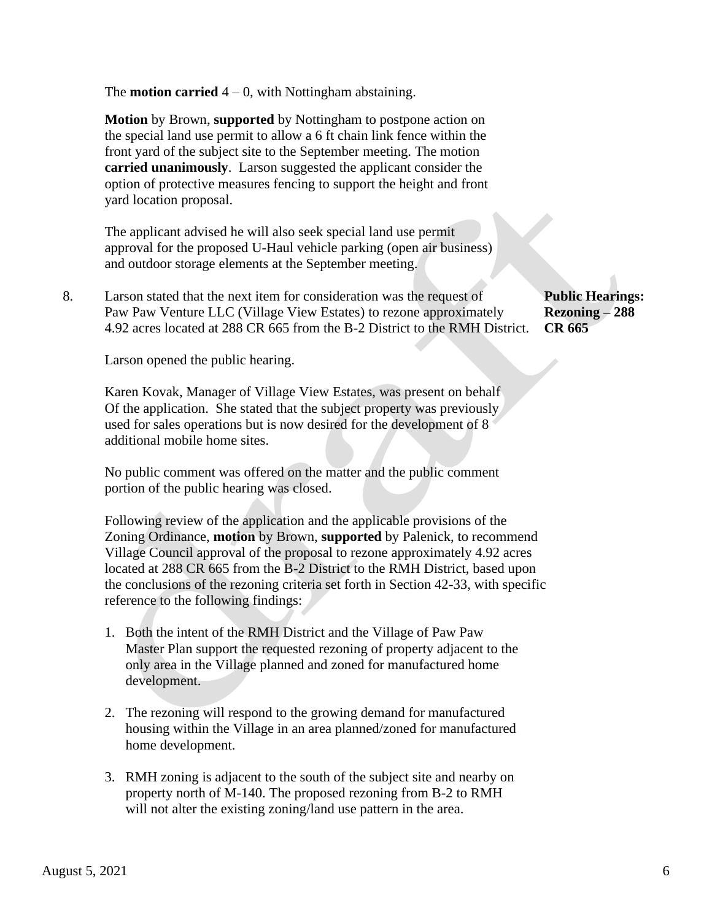The **motion carried**  $4 - 0$ , with Nottingham abstaining.

 **Motion** by Brown, **supported** by Nottingham to postpone action on the special land use permit to allow a 6 ft chain link fence within the front yard of the subject site to the September meeting. The motion **carried unanimously**. Larson suggested the applicant consider the option of protective measures fencing to support the height and front yard location proposal.

 The applicant advised he will also seek special land use permit approval for the proposed U-Haul vehicle parking (open air business) and outdoor storage elements at the September meeting.

8. Larson stated that the next item for consideration was the request of **Public Hearings:** Paw Paw Venture LLC (Village View Estates) to rezone approximately **Rezoning – 288** 4.92 acres located at 288 CR 665 from the B-2 District to the RMH District. **CR 665**

Larson opened the public hearing.

 Karen Kovak, Manager of Village View Estates, was present on behalf Of the application. She stated that the subject property was previously used for sales operations but is now desired for the development of 8 additional mobile home sites.

 No public comment was offered on the matter and the public comment portion of the public hearing was closed.

Following review of the application and the applicable provisions of the Zoning Ordinance, **motion** by Brown, **supported** by Palenick, to recommend Village Council approval of the proposal to rezone approximately 4.92 acres located at 288 CR 665 from the B-2 District to the RMH District, based upon the conclusions of the rezoning criteria set forth in Section 42-33, with specific reference to the following findings:

- 1. Both the intent of the RMH District and the Village of Paw Paw Master Plan support the requested rezoning of property adjacent to the only area in the Village planned and zoned for manufactured home development.
- 2. The rezoning will respond to the growing demand for manufactured housing within the Village in an area planned/zoned for manufactured home development.
- 3. RMH zoning is adjacent to the south of the subject site and nearby on property north of M-140. The proposed rezoning from B-2 to RMH will not alter the existing zoning/land use pattern in the area.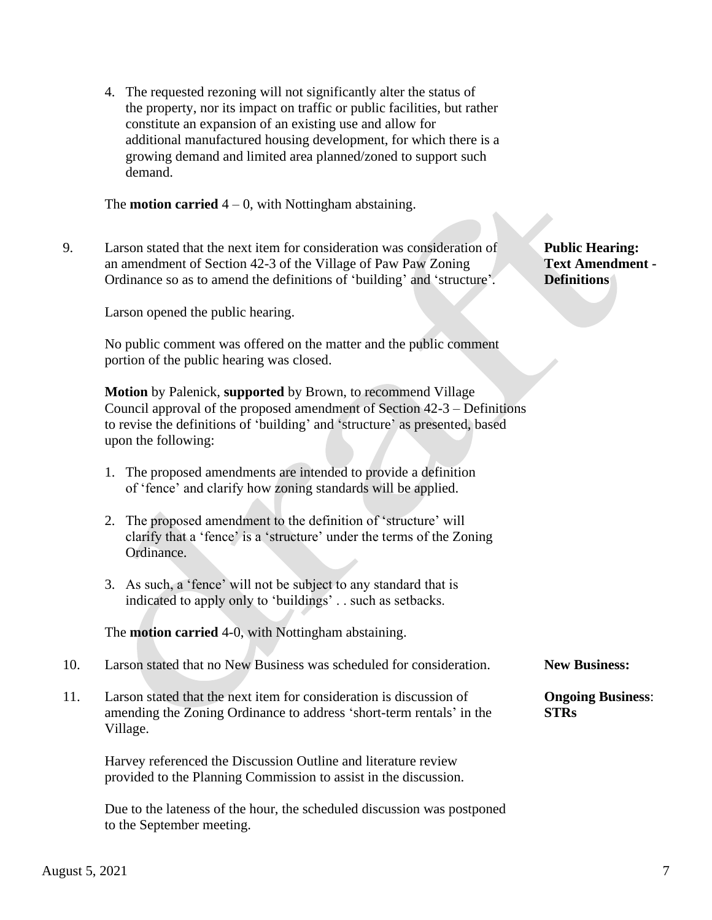4. The requested rezoning will not significantly alter the status of the property, nor its impact on traffic or public facilities, but rather constitute an expansion of an existing use and allow for additional manufactured housing development, for which there is a growing demand and limited area planned/zoned to support such demand.

The **motion carried**  $4 - 0$ , with Nottingham abstaining.

9. Larson stated that the next item for consideration was consideration of **Public Hearing:** an amendment of Section 42-3 of the Village of Paw Paw Zoning **Text Amendment -** Ordinance so as to amend the definitions of 'building' and 'structure'. **Definitions**

Larson opened the public hearing.

 No public comment was offered on the matter and the public comment portion of the public hearing was closed.

 **Motion** by Palenick, **supported** by Brown, to recommend Village Council approval of the proposed amendment of Section 42-3 – Definitions to revise the definitions of 'building' and 'structure' as presented, based upon the following:

- 1. The proposed amendments are intended to provide a definition of 'fence' and clarify how zoning standards will be applied.
- 2. The proposed amendment to the definition of 'structure' will clarify that a 'fence' is a 'structure' under the terms of the Zoning Ordinance.
- 3. As such, a 'fence' will not be subject to any standard that is indicated to apply only to 'buildings' . . such as setbacks.

The **motion carried** 4-0, with Nottingham abstaining.

- 10. Larson stated that no New Business was scheduled for consideration. **New Business:**
- 11. Larson stated that the next item for consideration is discussion of **Ongoing Business**: amending the Zoning Ordinance to address 'short-term rentals' in the **STRs** Village.

 Harvey referenced the Discussion Outline and literature review provided to the Planning Commission to assist in the discussion.

 Due to the lateness of the hour, the scheduled discussion was postponed to the September meeting.